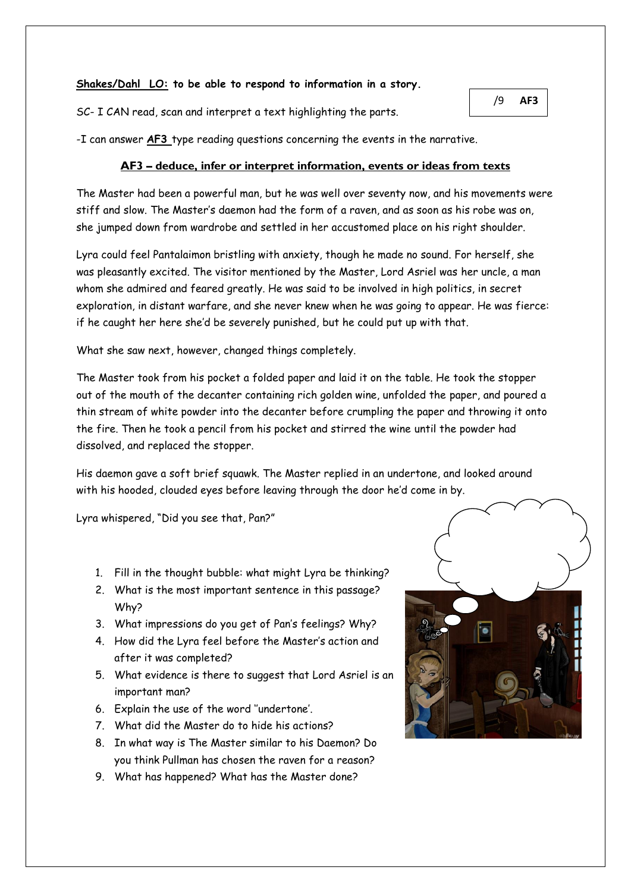## **Shakes/Dahl LO: to be able to respond to information in a story.**

SC- I CAN read, scan and interpret a text highlighting the parts.

/9 **AF3**

-I can answer **AF3** type reading questions concerning the events in the narrative.

## **AF3 – deduce, infer or interpret information, events or ideas from texts**

The Master had been a powerful man, but he was well over seventy now, and his movements were stiff and slow. The Master's daemon had the form of a raven, and as soon as his robe was on, she jumped down from wardrobe and settled in her accustomed place on his right shoulder.

Lyra could feel Pantalaimon bristling with anxiety, though he made no sound. For herself, she was pleasantly excited. The visitor mentioned by the Master, Lord Asriel was her uncle, a man whom she admired and feared greatly. He was said to be involved in high politics, in secret exploration, in distant warfare, and she never knew when he was going to appear. He was fierce: if he caught her here she'd be severely punished, but he could put up with that.

What she saw next, however, changed things completely.

The Master took from his pocket a folded paper and laid it on the table. He took the stopper out of the mouth of the decanter containing rich golden wine, unfolded the paper, and poured a thin stream of white powder into the decanter before crumpling the paper and throwing it onto the fire. Then he took a pencil from his pocket and stirred the wine until the powder had dissolved, and replaced the stopper.

His daemon gave a soft brief squawk. The Master replied in an undertone, and looked around with his hooded, clouded eyes before leaving through the door he'd come in by.

Lyra whispered, "Did you see that, Pan?"

- 1. Fill in the thought bubble: what might Lyra be thinking?
- 2. What is the most important sentence in this passage? Why?
- 3. What impressions do you get of Pan's feelings? Why?
- 4. How did the Lyra feel before the Master's action and after it was completed?
- 5. What evidence is there to suggest that Lord Asriel is an important man?
- 6. Explain the use of the word ''undertone'.
- 7. What did the Master do to hide his actions?
- 8. In what way is The Master similar to his Daemon? Do you think Pullman has chosen the raven for a reason?
- 9. What has happened? What has the Master done?